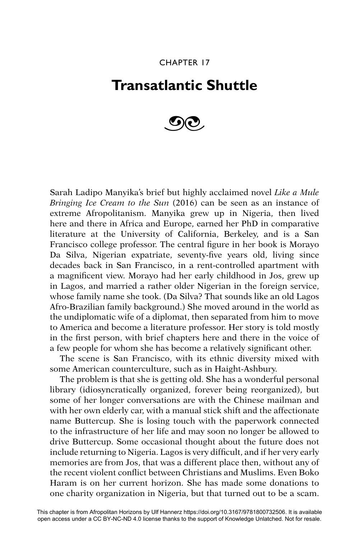## CHAPTER 17

## **Transatlantic Shuttle**



Sarah Ladipo Manyika's brief but highly acclaimed novel *Like a Mule Bringing Ice Cream to the Sun* (2016) can be seen as an instance of extreme Afropolitanism. Manyika grew up in Nigeria, then lived here and there in Africa and Europe, earned her PhD in comparative literature at the University of California, Berkeley, and is a San Francisco college professor. The central figure in her book is Morayo Da Silva, Nigerian expatriate, seventy-five years old, living since decades back in San Francisco, in a rent-controlled apartment with a magnificent view. Morayo had her early childhood in Jos, grew up in Lagos, and married a rather older Nigerian in the foreign service, whose family name she took. (Da Silva? That sounds like an old Lagos Afro-Brazilian family background.) She moved around in the world as the undiplomatic wife of a diplomat, then separated from him to move to America and become a literature professor. Her story is told mostly in the first person, with brief chapters here and there in the voice of a few people for whom she has become a relatively significant other.

The scene is San Francisco, with its ethnic diversity mixed with some American counterculture, such as in Haight-Ashbury.

The problem is that she is getting old. She has a wonderful personal library (idiosyncratically organized, forever being reorganized), but some of her longer conversations are with the Chinese mailman and with her own elderly car, with a manual stick shift and the affectionate name Buttercup. She is losing touch with the paperwork connected to the infrastructure of her life and may soon no longer be allowed to drive Buttercup. Some occasional thought about the future does not include returning to Nigeria. Lagos is very difficult, and if her very early memories are from Jos, that was a different place then, without any of the recent violent conflict between Christians and Muslims. Even Boko Haram is on her current horizon. She has made some donations to one charity organization in Nigeria, but that turned out to be a scam.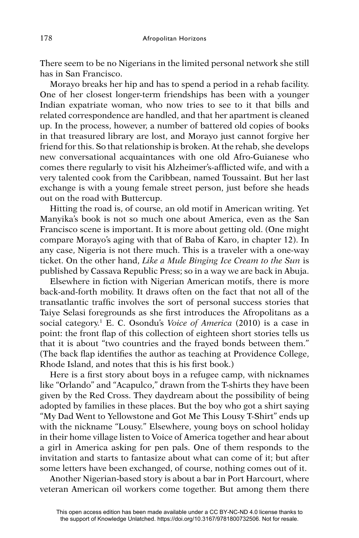There seem to be no Nigerians in the limited personal network she still has in San Francisco.

Morayo breaks her hip and has to spend a period in a rehab facility. One of her closest longer-term friendships has been with a younger Indian expatriate woman, who now tries to see to it that bills and related correspondence are handled, and that her apartment is cleaned up. In the process, however, a number of battered old copies of books in that treasured library are lost, and Morayo just cannot forgive her friend for this. So that relationship is broken. At the rehab, she develops new conversational acquaintances with one old Afro-Guianese who comes there regularly to visit his Alzheimer's-afflicted wife, and with a very talented cook from the Caribbean, named Toussaint. But her last exchange is with a young female street person, just before she heads out on the road with Buttercup.

Hitting the road is, of course, an old motif in American writing. Yet Manyika's book is not so much one about America, even as the San Francisco scene is important. It is more about getting old. (One might compare Morayo's aging with that of Baba of Karo, in chapter 12). In any case, Nigeria is not there much. This is a traveler with a one-way ticket. On the other hand, *Like a Mule Binging Ice Cream to the Sun* is published by Cassava Republic Press; so in a way we are back in Abuja.

Elsewhere in fiction with Nigerian American motifs, there is more back-and-forth mobility. It draws often on the fact that not all of the transatlantic traffic involves the sort of personal success stories that Taive Selasi foregrounds as she first introduces the Afropolitans as a social category.1 E. C. Osondu's *Voice of America* (2010) is a case in point: the front flap of this collection of eighteen short stories tells us that it is about "two countries and the frayed bonds between them." (The back flap identifies the author as teaching at Providence College, Rhode Island, and notes that this is his first book.)

Here is a first story about boys in a refugee camp, with nicknames like "Orlando" and "Acapulco," drawn from the T-shirts they have been given by the Red Cross. They daydream about the possibility of being adopted by families in these places. But the boy who got a shirt saying "My Dad Went to Yellowstone and Got Me This Lousy T-Shirt" ends up with the nickname "Lousy." Elsewhere, young boys on school holiday in their home village listen to Voice of America together and hear about a girl in America asking for pen pals. One of them responds to the invitation and starts to fantasize about what can come of it; but after some letters have been exchanged, of course, nothing comes out of it.

Another Nigerian-based story is about a bar in Port Harcourt, where veteran American oil workers come together. But among them there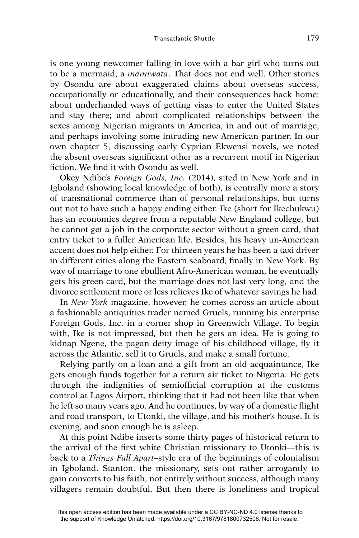is one young newcomer falling in love with a bar girl who turns out to be a mermaid, a *mamiwata*. That does not end well. Other stories by Osondu are about exaggerated claims about overseas success, occupationally or educationally, and their consequences back home; about underhanded ways of getting visas to enter the United States and stay there; and about complicated relationships between the sexes among Nigerian migrants in America, in and out of marriage, and perhaps involving some intruding new American partner. In our own chapter 5, discussing early Cyprian Ekwensi novels, we noted the absent overseas significant other as a recurrent motif in Nigerian fiction. We find it with Osondu as well.

Okey Ndibe's *Foreign Gods, Inc.* (2014), sited in New York and in Igboland (showing local knowledge of both), is centrally more a story of transnational commerce than of personal relationships, but turns out not to have such a happy ending either. Ike (short for Ikechukwu) has an economics degree from a reputable New England college, but he cannot get a job in the corporate sector without a green card, that entry ticket to a fuller American life. Besides, his heavy un-American accent does not help either. For thirteen years he has been a taxi driver in different cities along the Eastern seaboard, finally in New York. By way of marriage to one ebullient Afro-American woman, he eventually gets his green card, but the marriage does not last very long, and the divorce settlement more or less relieves Ike of whatever savings he had.

In *New York* magazine, however, he comes across an article about a fashionable antiquities trader named Gruels, running his enterprise Foreign Gods, Inc. in a corner shop in Greenwich Village. To begin with, Ike is not impressed, but then he gets an idea. He is going to kidnap Ngene, the pagan deity image of his childhood village, fly it across the Atlantic, sell it to Gruels, and make a small fortune.

Relying partly on a loan and a gift from an old acquaintance, Ike gets enough funds together for a return air ticket to Nigeria. He gets through the indignities of semiofficial corruption at the customs control at Lagos Airport, thinking that it had not been like that when he left so many years ago. And he continues, by way of a domestic flight and road transport, to Utonki, the village, and his mother's house. It is evening, and soon enough he is asleep.

At this point Ndibe inserts some thirty pages of historical return to the arrival of the first white Christian missionary to Utonki-this is back to a *Things Fall Apart*–style era of the beginnings of colonialism in Igboland. Stanton, the missionary, sets out rather arrogantly to gain converts to his faith, not entirely without success, although many villagers remain doubtful. But then there is loneliness and tropical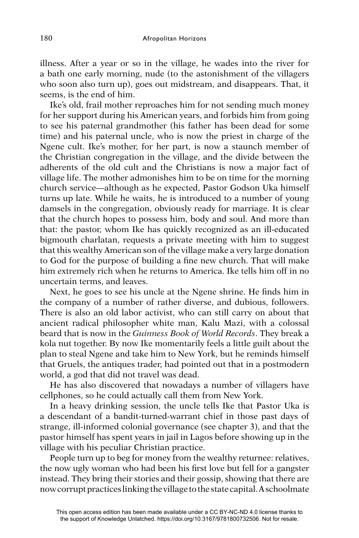illness. After a year or so in the village, he wades into the river for a bath one early morning, nude (to the astonishment of the villagers who soon also turn up), goes out midstream, and disappears. That, it seems, is the end of him.

Ike's old, frail mother reproaches him for not sending much money for her support during his American years, and forbids him from going to see his paternal grandmother (his father has been dead for some time) and his paternal uncle, who is now the priest in charge of the Ngene cult. Ike's mother, for her part, is now a staunch member of the Christian congregation in the village, and the divide between the adherents of the old cult and the Christians is now a major fact of village life. The mother admonishes him to be on time for the morning church service—although as he expected, Pastor Godson Uka himself turns up late. While he waits, he is introduced to a number of young damsels in the congregation, obviously ready for marriage. It is clear that the church hopes to possess him, body and soul. And more than that: the pastor, whom Ike has quickly recognized as an ill-educated bigmouth charlatan, requests a private meeting with him to suggest that this wealthy American son of the village make a very large donation to God for the purpose of building a fine new church. That will make him extremely rich when he returns to America. Ike tells him off in no uncertain terms, and leaves.

Next, he goes to see his uncle at the Ngene shrine. He finds him in the company of a number of rather diverse, and dubious, followers. There is also an old labor activist, who can still carry on about that ancient radical philosopher white man, Kalu Mazi, with a colossal beard that is now in the *Guinness Book of World Records*. They break a kola nut together. By now Ike momentarily feels a little guilt about the plan to steal Ngene and take him to New York, but he reminds himself that Gruels, the antiques trader, had pointed out that in a postmodern world, a god that did not travel was dead.

He has also discovered that nowadays a number of villagers have cellphones, so he could actually call them from New York.

In a heavy drinking session, the uncle tells Ike that Pastor Uka is a descendant of a bandit-turned-warrant chief in those past days of strange, ill-informed colonial governance (see chapter 3), and that the pastor himself has spent years in jail in Lagos before showing up in the village with his peculiar Christian practice.

People turn up to beg for money from the wealthy returnee: relatives, the now ugly woman who had been his first love but fell for a gangster instead. They bring their stories and their gossip, showing that there are now corrupt practices linking the village to the state capital. A schoolmate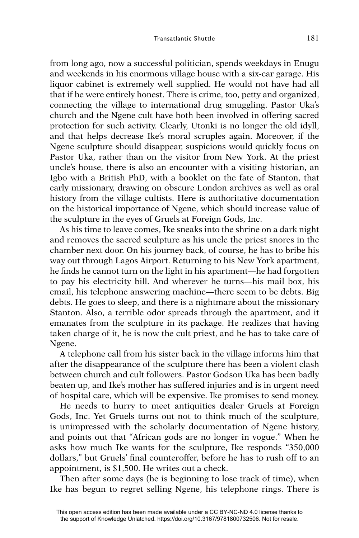from long ago, now a successful politician, spends weekdays in Enugu and weekends in his enormous village house with a six-car garage. His liquor cabinet is extremely well supplied. He would not have had all that if he were entirely honest. There is crime, too, petty and organized, connecting the village to international drug smuggling. Pastor Uka's church and the Ngene cult have both been involved in offering sacred protection for such activity. Clearly, Utonki is no longer the old idyll, and that helps decrease Ike's moral scruples again. Moreover, if the Ngene sculpture should disappear, suspicions would quickly focus on Pastor Uka, rather than on the visitor from New York. At the priest uncle's house, there is also an encounter with a visiting historian, an Igbo with a British PhD, with a booklet on the fate of Stanton, that early missionary, drawing on obscure London archives as well as oral history from the village cultists. Here is authoritative documentation on the historical importance of Ngene, which should increase value of the sculpture in the eyes of Gruels at Foreign Gods, Inc.

As his time to leave comes, Ike sneaks into the shrine on a dark night and removes the sacred sculpture as his uncle the priest snores in the chamber next door. On his journey back, of course, he has to bribe his way out through Lagos Airport. Returning to his New York apartment, he finds he cannot turn on the light in his apartment—he had forgotten to pay his electricity bill. And wherever he turns—his mail box, his email, his telephone answering machine—there seem to be debts. Big debts. He goes to sleep, and there is a nightmare about the missionary Stanton. Also, a terrible odor spreads through the apartment, and it emanates from the sculpture in its package. He realizes that having taken charge of it, he is now the cult priest, and he has to take care of Ngene.

A telephone call from his sister back in the village informs him that after the disappearance of the sculpture there has been a violent clash between church and cult followers. Pastor Godson Uka has been badly beaten up, and Ike's mother has suffered injuries and is in urgent need of hospital care, which will be expensive. Ike promises to send money.

He needs to hurry to meet antiquities dealer Gruels at Foreign Gods, Inc. Yet Gruels turns out not to think much of the sculpture, is unimpressed with the scholarly documentation of Ngene history, and points out that "African gods are no longer in vogue." When he asks how much Ike wants for the sculpture, Ike responds "350,000 dollars," but Gruels' final counteroffer, before he has to rush off to an appointment, is \$1,500. He writes out a check.

Then after some days (he is beginning to lose track of time), when Ike has begun to regret selling Ngene, his telephone rings. There is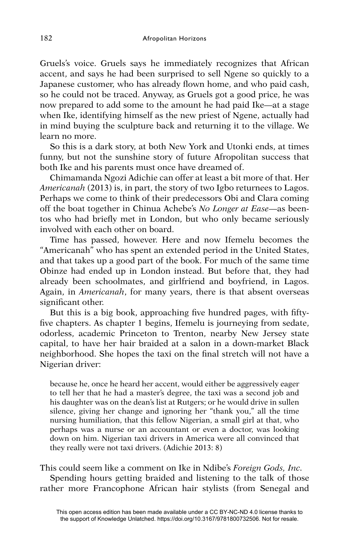Gruels's voice. Gruels says he immediately recognizes that African accent, and says he had been surprised to sell Ngene so quickly to a Japanese customer, who has already flown home, and who paid cash, so he could not be traced. Anyway, as Gruels got a good price, he was now prepared to add some to the amount he had paid Ike—at a stage when Ike, identifying himself as the new priest of Ngene, actually had in mind buying the sculpture back and returning it to the village. We learn no more.

So this is a dark story, at both New York and Utonki ends, at times funny, but not the sunshine story of future Afropolitan success that both Ike and his parents must once have dreamed of.

Chimamanda Ngozi Adichie can offer at least a bit more of that. Her *Americanah* (2013) is, in part, the story of two Igbo returnees to Lagos. Perhaps we come to think of their predecessors Obi and Clara coming off the boat together in Chinua Achebe's *No Longer at Ease*—as beentos who had briefly met in London, but who only became seriously involved with each other on board.

Time has passed, however. Here and now Ifemelu becomes the "Americanah" who has spent an extended period in the United States, and that takes up a good part of the book. For much of the same time Obinze had ended up in London instead. But before that, they had already been schoolmates, and girlfriend and boyfriend, in Lagos. Again, in *Americanah*, for many years, there is that absent overseas significant other.

But this is a big book, approaching five hundred pages, with fiftyfive chapters. As chapter 1 begins, Ifemelu is journeying from sedate, odorless, academic Princeton to Trenton, nearby New Jersey state capital, to have her hair braided at a salon in a down-market Black neighborhood. She hopes the taxi on the final stretch will not have a Nigerian driver:

because he, once he heard her accent, would either be aggressively eager to tell her that he had a master's degree, the taxi was a second job and his daughter was on the dean's list at Rutgers; or he would drive in sullen silence, giving her change and ignoring her "thank you," all the time nursing humiliation, that this fellow Nigerian, a small girl at that, who perhaps was a nurse or an accountant or even a doctor, was looking down on him. Nigerian taxi drivers in America were all convinced that they really were not taxi drivers. (Adichie 2013: 8)

This could seem like a comment on Ike in Ndibe's *Foreign Gods, Inc.* Spending hours getting braided and listening to the talk of those rather more Francophone African hair stylists (from Senegal and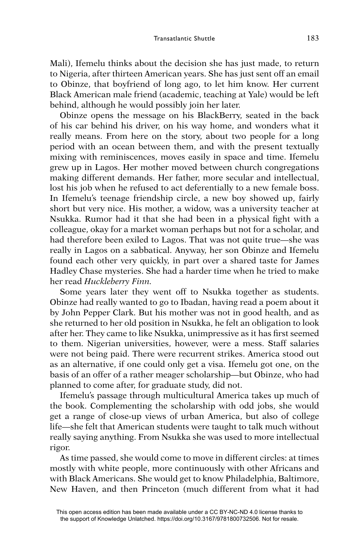Mali), Ifemelu thinks about the decision she has just made, to return to Nigeria, after thirteen American years. She has just sent off an email to Obinze, that boyfriend of long ago, to let him know. Her current Black American male friend (academic, teaching at Yale) would be left behind, although he would possibly join her later.

Obinze opens the message on his BlackBerry, seated in the back of his car behind his driver, on his way home, and wonders what it really means. From here on the story, about two people for a long period with an ocean between them, and with the present textually mixing with reminiscences, moves easily in space and time. Ifemelu grew up in Lagos. Her mother moved between church congregations making different demands. Her father, more secular and intellectual, lost his job when he refused to act deferentially to a new female boss. In Ifemelu's teenage friendship circle, a new boy showed up, fairly short but very nice. His mother, a widow, was a university teacher at Nsukka. Rumor had it that she had been in a physical fight with a colleague, okay for a market woman perhaps but not for a scholar, and had therefore been exiled to Lagos. That was not quite true—she was really in Lagos on a sabbatical. Anyway, her son Obinze and Ifemelu found each other very quickly, in part over a shared taste for James Hadley Chase mysteries. She had a harder time when he tried to make her read *Huckleberry Finn.*

Some years later they went off to Nsukka together as students. Obinze had really wanted to go to Ibadan, having read a poem about it by John Pepper Clark. But his mother was not in good health, and as she returned to her old position in Nsukka, he felt an obligation to look after her. They came to like Nsukka, unimpressive as it has first seemed to them. Nigerian universities, however, were a mess. Staff salaries were not being paid. There were recurrent strikes. America stood out as an alternative, if one could only get a visa. Ifemelu got one, on the basis of an offer of a rather meager scholarship—but Obinze, who had planned to come after, for graduate study, did not.

Ifemelu's passage through multicultural America takes up much of the book. Complementing the scholarship with odd jobs, she would get a range of close-up views of urban America, but also of college life—she felt that American students were taught to talk much without really saying anything. From Nsukka she was used to more intellectual rigor.

As time passed, she would come to move in different circles: at times mostly with white people, more continuously with other Africans and with Black Americans. She would get to know Philadelphia, Baltimore, New Haven, and then Princeton (much different from what it had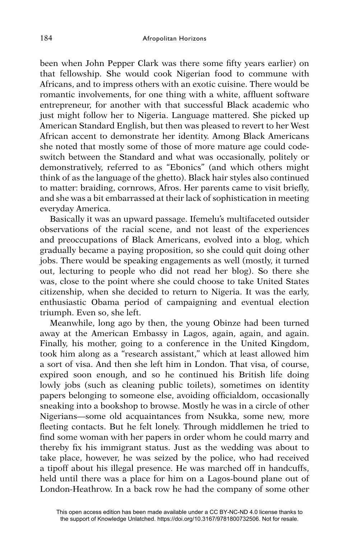been when John Pepper Clark was there some fifty years earlier) on that fellowship. She would cook Nigerian food to commune with Africans, and to impress others with an exotic cuisine. There would be romantic involvements, for one thing with a white, affluent software entrepreneur, for another with that successful Black academic who just might follow her to Nigeria. Language mattered. She picked up American Standard English, but then was pleased to revert to her West African accent to demonstrate her identity. Among Black Americans she noted that mostly some of those of more mature age could codeswitch between the Standard and what was occasionally, politely or demonstratively, referred to as "Ebonics" (and which others might think of as the language of the ghetto). Black hair styles also continued to matter: braiding, cornrows, Afros. Her parents came to visit briefly, and she was a bit embarrassed at their lack of sophistication in meeting everyday America.

Basically it was an upward passage. Ifemelu's multifaceted outsider observations of the racial scene, and not least of the experiences and preoccupations of Black Americans, evolved into a blog, which gradually became a paying proposition, so she could quit doing other jobs. There would be speaking engagements as well (mostly, it turned out, lecturing to people who did not read her blog). So there she was, close to the point where she could choose to take United States citizenship, when she decided to return to Nigeria. It was the early, enthusiastic Obama period of campaigning and eventual election triumph. Even so, she left.

Meanwhile, long ago by then, the young Obinze had been turned away at the American Embassy in Lagos, again, again, and again. Finally, his mother, going to a conference in the United Kingdom, took him along as a "research assistant," which at least allowed him a sort of visa. And then she left him in London. That visa, of course, expired soon enough, and so he continued his British life doing lowly jobs (such as cleaning public toilets), sometimes on identity papers belonging to someone else, avoiding officialdom, occasionally sneaking into a bookshop to browse. Mostly he was in a circle of other Nigerians—some old acquaintances from Nsukka, some new, more fleeting contacts. But he felt lonely. Through middlemen he tried to find some woman with her papers in order whom he could marry and thereby fix his immigrant status. Just as the wedding was about to take place, however, he was seized by the police, who had received a tipoff about his illegal presence. He was marched off in handcuffs, held until there was a place for him on a Lagos-bound plane out of London-Heathrow. In a back row he had the company of some other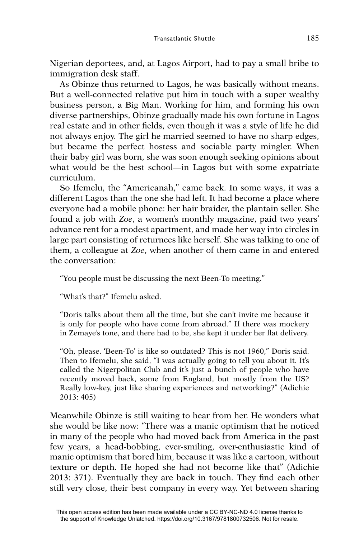Nigerian deportees, and, at Lagos Airport, had to pay a small bribe to immigration desk staff.

As Obinze thus returned to Lagos, he was basically without means. But a well-connected relative put him in touch with a super wealthy business person, a Big Man. Working for him, and forming his own diverse partnerships, Obinze gradually made his own fortune in Lagos real estate and in other fields, even though it was a style of life he did not always enjoy. The girl he married seemed to have no sharp edges, but became the perfect hostess and sociable party mingler. When their baby girl was born, she was soon enough seeking opinions about what would be the best school—in Lagos but with some expatriate curriculum.

So Ifemelu, the "Americanah," came back. In some ways, it was a different Lagos than the one she had left. It had become a place where everyone had a mobile phone: her hair braider, the plantain seller. She found a job with *Zoe*, a women's monthly magazine, paid two years' advance rent for a modest apartment, and made her way into circles in large part consisting of returnees like herself. She was talking to one of them, a colleague at *Zoe*, when another of them came in and entered the conversation:

"You people must be discussing the next Been-To meeting."

"What's that?" Ifemelu asked.

"Doris talks about them all the time, but she can't invite me because it is only for people who have come from abroad." If there was mockery in Zemaye's tone, and there had to be, she kept it under her flat delivery.

"Oh, please. 'Been-To' is like so outdated? This is not 1960," Doris said. Then to Ifemelu, she said, "I was actually going to tell you about it. It's called the Nigerpolitan Club and it's just a bunch of people who have recently moved back, some from England, but mostly from the US? Really low-key, just like sharing experiences and networking?" (Adichie 2013: 405)

Meanwhile Obinze is still waiting to hear from her. He wonders what she would be like now: "There was a manic optimism that he noticed in many of the people who had moved back from America in the past few years, a head-bobbing, ever-smiling, over-enthusiastic kind of manic optimism that bored him, because it was like a cartoon, without texture or depth. He hoped she had not become like that" (Adichie 2013: 371). Eventually they are back in touch. They find each other still very close, their best company in every way. Yet between sharing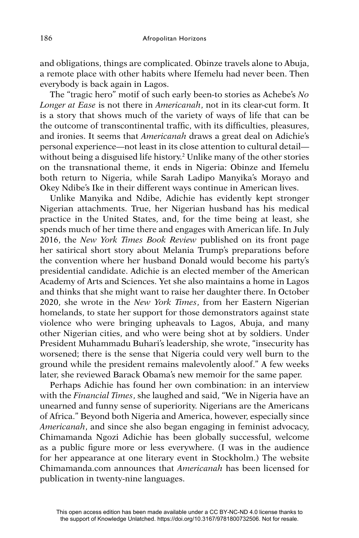and obligations, things are complicated. Obinze travels alone to Abuja, a remote place with other habits where Ifemelu had never been. Then everybody is back again in Lagos.

The "tragic hero" motif of such early been-to stories as Achebe's *No Longer at Ease* is not there in *Americanah*, not in its clear-cut form. It is a story that shows much of the variety of ways of life that can be the outcome of transcontinental traffic, with its difficulties, pleasures, and ironies. It seems that *Americanah* draws a great deal on Adichie's personal experience—not least in its close attention to cultural detail without being a disguised life history.<sup>2</sup> Unlike many of the other stories on the transnational theme, it ends in Nigeria: Obinze and Ifemelu both return to Nigeria, while Sarah Ladipo Manyika's Morayo and Okey Ndibe's Ike in their different ways continue in American lives.

Unlike Manyika and Ndibe, Adichie has evidently kept stronger Nigerian attachments. True, her Nigerian husband has his medical practice in the United States, and, for the time being at least, she spends much of her time there and engages with American life. In July 2016, the *New York Times Book Review* published on its front page her satirical short story about Melania Trump's preparations before the convention where her husband Donald would become his party's presidential candidate. Adichie is an elected member of the American Academy of Arts and Sciences. Yet she also maintains a home in Lagos and thinks that she might want to raise her daughter there. In October 2020, she wrote in the *New York Times*, from her Eastern Nigerian homelands, to state her support for those demonstrators against state violence who were bringing upheavals to Lagos, Abuja, and many other Nigerian cities, and who were being shot at by soldiers. Under President Muhammadu Buhari's leadership, she wrote, "insecurity has worsened; there is the sense that Nigeria could very well burn to the ground while the president remains malevolently aloof." A few weeks later, she reviewed Barack Obama's new memoir for the same paper.

Perhaps Adichie has found her own combination: in an interview with the *Financial Times*, she laughed and said, "We in Nigeria have an unearned and funny sense of superiority. Nigerians are the Americans of Africa." Beyond both Nigeria and America, however, especially since *Americanah*, and since she also began engaging in feminist advocacy, Chimamanda Ngozi Adichie has been globally successful, welcome as a public figure more or less everywhere. (I was in the audience for her appearance at one literary event in Stockholm.) The website Chimamanda.com announces that *Americanah* has been licensed for publication in twenty-nine languages.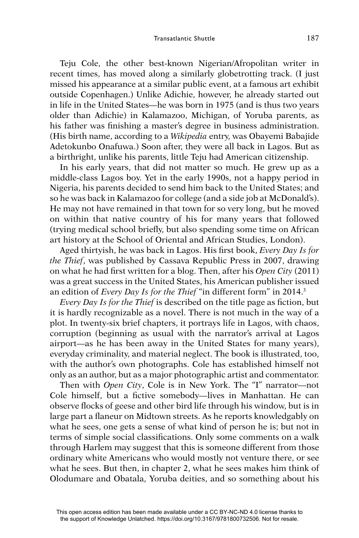Teju Cole, the other best-known Nigerian/Afropolitan writer in recent times, has moved along a similarly globetrotting track. (I just missed his appearance at a similar public event, at a famous art exhibit outside Copenhagen.) Unlike Adichie, however, he already started out in life in the United States—he was born in 1975 (and is thus two years older than Adichie) in Kalamazoo, Michigan, of Yoruba parents, as his father was finishing a master's degree in business administration. (His birth name, according to a *Wikipedia* entry, was Obayemi Babajide Adetokunbo Onafuwa.) Soon after, they were all back in Lagos. But as a birthright, unlike his parents, little Teju had American citizenship.

In his early years, that did not matter so much. He grew up as a middle-class Lagos boy. Yet in the early 1990s, not a happy period in Nigeria, his parents decided to send him back to the United States; and so he was back in Kalamazoo for college (and a side job at McDonald's). He may not have remained in that town for so very long, but he moved on within that native country of his for many years that followed (trying medical school briefly, but also spending some time on African art history at the School of Oriental and African Studies, London).

Aged thirtyish, he was back in Lagos. His first book, *Every Day Is for the Thief*, was published by Cassava Republic Press in 2007, drawing on what he had first written for a blog. Then, after his *Open City* (2011) was a great success in the United States, his American publisher issued an edition of *Every Day Is for the Thief* "in different form" in 2014.3

*Every Day Is for the Thief* is described on the title page as fiction, but it is hardly recognizable as a novel. There is not much in the way of a plot. In twenty-six brief chapters, it portrays life in Lagos, with chaos, corruption (beginning as usual with the narrator's arrival at Lagos airport—as he has been away in the United States for many years), everyday criminality, and material neglect. The book is illustrated, too, with the author's own photographs. Cole has established himself not only as an author, but as a major photographic artist and commentator.

Then with *Open City*, Cole is in New York. The "I" narrator—not Cole himself, but a fictive somebody—lives in Manhattan. He can observe flocks of geese and other bird life through his window, but is in large part a flaneur on Midtown streets. As he reports knowledgably on what he sees, one gets a sense of what kind of person he is; but not in terms of simple social classifications. Only some comments on a walk through Harlem may suggest that this is someone different from those ordinary white Americans who would mostly not venture there, or see what he sees. But then, in chapter 2, what he sees makes him think of Olodumare and Obatala, Yoruba deities, and so something about his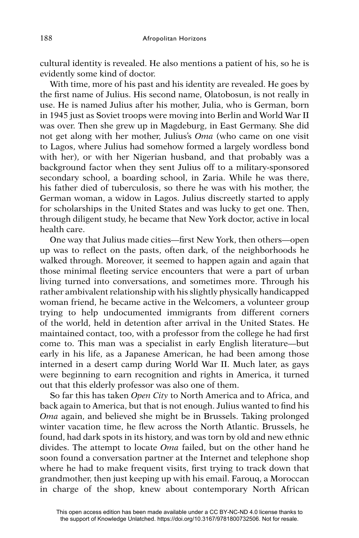cultural identity is revealed. He also mentions a patient of his, so he is evidently some kind of doctor.

With time, more of his past and his identity are revealed. He goes by the first name of Julius. His second name, Olatobosun, is not really in use. He is named Julius after his mother, Julia, who is German, born in 1945 just as Soviet troops were moving into Berlin and World War II was over. Then she grew up in Magdeburg, in East Germany. She did not get along with her mother, Julius's *Oma* (who came on one visit to Lagos, where Julius had somehow formed a largely wordless bond with her), or with her Nigerian husband, and that probably was a background factor when they sent Julius off to a military-sponsored secondary school, a boarding school, in Zaria. While he was there, his father died of tuberculosis, so there he was with his mother, the German woman, a widow in Lagos. Julius discreetly started to apply for scholarships in the United States and was lucky to get one. Then, through diligent study, he became that New York doctor, active in local health care.

One way that Julius made cities—first New York, then others—open up was to reflect on the pasts, often dark, of the neighborhoods he walked through. Moreover, it seemed to happen again and again that those minimal fleeting service encounters that were a part of urban living turned into conversations, and sometimes more. Through his rather ambivalent relationship with his slightly physically handicapped woman friend, he became active in the Welcomers, a volunteer group trying to help undocumented immigrants from different corners of the world, held in detention after arrival in the United States. He maintained contact, too, with a professor from the college he had first come to. This man was a specialist in early English literature—but early in his life, as a Japanese American, he had been among those interned in a desert camp during World War II. Much later, as gays were beginning to earn recognition and rights in America, it turned out that this elderly professor was also one of them.

So far this has taken *Open City* to North America and to Africa, and back again to America, but that is not enough. Julius wanted to find his *Oma* again, and believed she might be in Brussels. Taking prolonged winter vacation time, he flew across the North Atlantic. Brussels, he found, had dark spots in its history, and was torn by old and new ethnic divides. The attempt to locate *Oma* failed, but on the other hand he soon found a conversation partner at the Internet and telephone shop where he had to make frequent visits, first trying to track down that grandmother, then just keeping up with his email. Farouq, a Moroccan in charge of the shop, knew about contemporary North African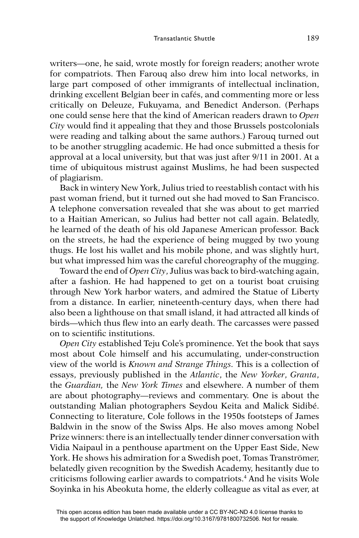writers—one, he said, wrote mostly for foreign readers; another wrote for compatriots. Then Farouq also drew him into local networks, in large part composed of other immigrants of intellectual inclination, drinking excellent Belgian beer in cafés, and commenting more or less critically on Deleuze, Fukuyama, and Benedict Anderson. (Perhaps one could sense here that the kind of American readers drawn to *Open City* would find it appealing that they and those Brussels postcolonials were reading and talking about the same authors.) Farouq turned out to be another struggling academic. He had once submitted a thesis for approval at a local university, but that was just after 9/11 in 2001. At a time of ubiquitous mistrust against Muslims, he had been suspected of plagiarism.

Back in wintery New York, Julius tried to reestablish contact with his past woman friend, but it turned out she had moved to San Francisco. A telephone conversation revealed that she was about to get married to a Haitian American, so Julius had better not call again. Belatedly, he learned of the death of his old Japanese American professor. Back on the streets, he had the experience of being mugged by two young thugs. He lost his wallet and his mobile phone, and was slightly hurt, but what impressed him was the careful choreography of the mugging.

Toward the end of *Open City*, Julius was back to bird-watching again, after a fashion. He had happened to get on a tourist boat cruising through New York harbor waters, and admired the Statue of Liberty from a distance. In earlier, nineteenth-century days, when there had also been a lighthouse on that small island, it had attracted all kinds of birds—which thus flew into an early death. The carcasses were passed on to scientific institutions.

*Open City* established Teju Cole's prominence. Yet the book that says most about Cole himself and his accumulating, under-construction view of the world is *Known and Strange Things.* This is a collection of essays, previously published in the *Atlantic*, the *New Yorker*, *Granta*, the *Guardian,* the *New York Times* and elsewhere. A number of them are about photography—reviews and commentary. One is about the outstanding Malian photographers Seydou Keita and Malick Sidibé. Connecting to literature, Cole follows in the 1950s footsteps of James Baldwin in the snow of the Swiss Alps. He also moves among Nobel Prize winners: there is an intellectually tender dinner conversation with Vidia Naipaul in a penthouse apartment on the Upper East Side, New York. He shows his admiration for a Swedish poet, Tomas Tranströmer, belatedly given recognition by the Swedish Academy, hesitantly due to criticisms following earlier awards to compatriots.4 And he visits Wole Soyinka in his Abeokuta home, the elderly colleague as vital as ever, at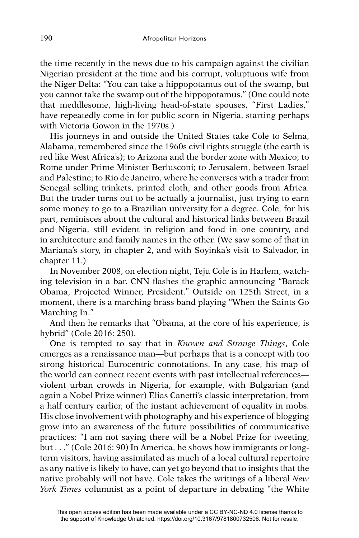the time recently in the news due to his campaign against the civilian Nigerian president at the time and his corrupt, voluptuous wife from the Niger Delta: "You can take a hippopotamus out of the swamp, but you cannot take the swamp out of the hippopotamus." (One could note that meddlesome, high-living head-of-state spouses, "First Ladies," have repeatedly come in for public scorn in Nigeria, starting perhaps with Victoria Gowon in the 1970s.)

His journeys in and outside the United States take Cole to Selma, Alabama, remembered since the 1960s civil rights struggle (the earth is red like West Africa's); to Arizona and the border zone with Mexico; to Rome under Prime Minister Berlusconi; to Jerusalem, between Israel and Palestine; to Rio de Janeiro, where he converses with a trader from Senegal selling trinkets, printed cloth, and other goods from Africa. But the trader turns out to be actually a journalist, just trying to earn some money to go to a Brazilian university for a degree. Cole, for his part, reminisces about the cultural and historical links between Brazil and Nigeria, still evident in religion and food in one country, and in architecture and family names in the other. (We saw some of that in Mariana's story, in chapter 2, and with Soyinka's visit to Salvador, in chapter 11.)

In November 2008, on election night, Teju Cole is in Harlem, watching television in a bar. CNN flashes the graphic announcing "Barack" Obama, Projected Winner, President." Outside on 125th Street, in a moment, there is a marching brass band playing "When the Saints Go Marching In."

And then he remarks that "Obama, at the core of his experience, is hybrid" (Cole 2016: 250).

One is tempted to say that in *Known and Strange Things*, Cole emerges as a renaissance man—but perhaps that is a concept with too strong historical Eurocentric connotations. In any case, his map of the world can connect recent events with past intellectual references violent urban crowds in Nigeria, for example, with Bulgarian (and again a Nobel Prize winner) Elias Canetti's classic interpretation, from a half century earlier, of the instant achievement of equality in mobs. His close involvement with photography and his experience of blogging grow into an awareness of the future possibilities of communicative practices: "I am not saying there will be a Nobel Prize for tweeting, but . . ." (Cole 2016: 90) In America, he shows how immigrants or longterm visitors, having assimilated as much of a local cultural repertoire as any native is likely to have, can yet go beyond that to insights that the native probably will not have. Cole takes the writings of a liberal *New York Times* columnist as a point of departure in debating "the White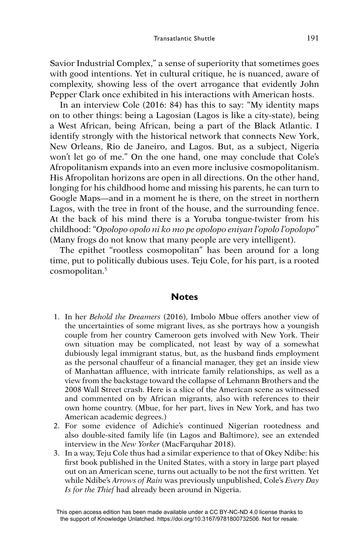Savior Industrial Complex," a sense of superiority that sometimes goes with good intentions. Yet in cultural critique, he is nuanced, aware of complexity, showing less of the overt arrogance that evidently John Pepper Clark once exhibited in his interactions with American hosts.

In an interview Cole (2016: 84) has this to say: "My identity maps on to other things: being a Lagosian (Lagos is like a city-state), being a West African, being African, being a part of the Black Atlantic. I identify strongly with the historical network that connects New York, New Orleans, Rio de Janeiro, and Lagos. But, as a subject, Nigeria won't let go of me." On the one hand, one may conclude that Cole's Afropolitanism expands into an even more inclusive cosmopolitanism. His Afropolitan horizons are open in all directions. On the other hand, longing for his childhood home and missing his parents, he can turn to Google Maps—and in a moment he is there, on the street in northern Lagos, with the tree in front of the house, and the surrounding fence. At the back of his mind there is a Yoruba tongue-twister from his childhood: "*Opolopo opolo ni ko mo pe opolopo eniyan l'opolo l'opolopo*" (Many frogs do not know that many people are very intelligent).

The epithet "rootless cosmopolitan" has been around for a long time, put to politically dubious uses. Teju Cole, for his part, is a rooted cosmopolitan.5

## **Notes**

- 1. In her *Behold the Dreamers* (2016), Imbolo Mbue offers another view of the uncertainties of some migrant lives, as she portrays how a youngish couple from her country Cameroon gets involved with New York. Their own situation may be complicated, not least by way of a somewhat dubiously legal immigrant status, but, as the husband finds employment as the personal chauffeur of a financial manager, they get an inside view of Manhattan affluence, with intricate family relationships, as well as a view from the backstage toward the collapse of Lehmann Brothers and the 2008 Wall Street crash. Here is a slice of the American scene as witnessed and commented on by African migrants, also with references to their own home country. (Mbue, for her part, lives in New York, and has two American academic degrees.)
- 2. For some evidence of Adichie's continued Nigerian rootedness and also double-sited family life (in Lagos and Baltimore), see an extended interview in the *New Yorker* (MacFarquhar 2018).
- 3. In a way, Teju Cole thus had a similar experience to that of Okey Ndibe: his first book published in the United States, with a story in large part played out on an American scene, turns out actually to be not the first written. Yet while Ndibe's *Arrows of Rain* was previously unpublished, Cole's *Every Day Is for the Thief* had already been around in Nigeria.

This open access edition has been made available under a CC BY-NC-ND 4.0 license thanks to the support of Knowledge Unlatched. https://doi.org/10.3167/9781800732506. Not for resale.